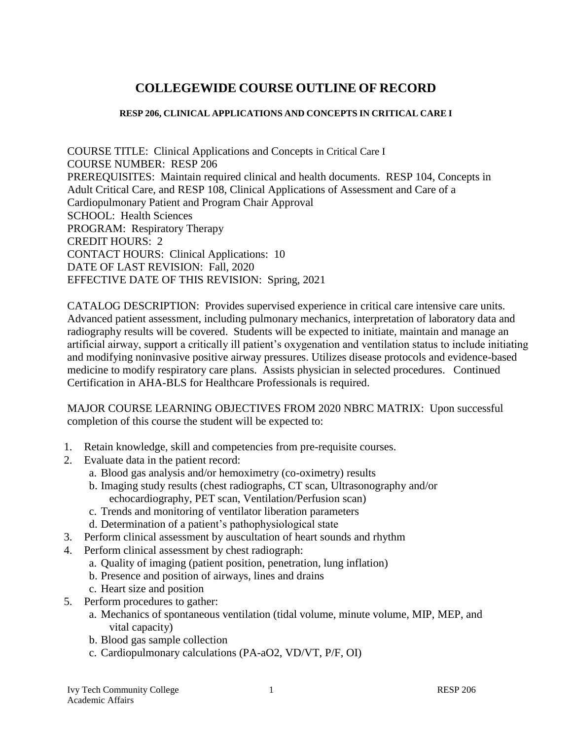# **COLLEGEWIDE COURSE OUTLINE OF RECORD**

#### **RESP 206, CLINICAL APPLICATIONS AND CONCEPTS IN CRITICAL CARE I**

COURSE TITLE: Clinical Applications and Concepts in Critical Care I COURSE NUMBER: RESP 206 PREREQUISITES: Maintain required clinical and health documents. RESP 104, Concepts in Adult Critical Care, and RESP 108, Clinical Applications of Assessment and Care of a Cardiopulmonary Patient and Program Chair Approval SCHOOL: Health Sciences PROGRAM: Respiratory Therapy CREDIT HOURS: 2 CONTACT HOURS: Clinical Applications: 10 DATE OF LAST REVISION: Fall, 2020 EFFECTIVE DATE OF THIS REVISION: Spring, 2021

CATALOG DESCRIPTION: Provides supervised experience in critical care intensive care units. Advanced patient assessment, including pulmonary mechanics, interpretation of laboratory data and radiography results will be covered. Students will be expected to initiate, maintain and manage an artificial airway, support a critically ill patient's oxygenation and ventilation status to include initiating and modifying noninvasive positive airway pressures. Utilizes disease protocols and evidence-based medicine to modify respiratory care plans. Assists physician in selected procedures. Continued Certification in AHA-BLS for Healthcare Professionals is required.

MAJOR COURSE LEARNING OBJECTIVES FROM 2020 NBRC MATRIX: Upon successful completion of this course the student will be expected to:

- 1. Retain knowledge, skill and competencies from pre-requisite courses.
- 2. Evaluate data in the patient record:
	- a. Blood gas analysis and/or hemoximetry (co-oximetry) results
	- b. Imaging study results (chest radiographs, CT scan, Ultrasonography and/or echocardiography, PET scan, Ventilation/Perfusion scan)
	- c. Trends and monitoring of ventilator liberation parameters
	- d. Determination of a patient's pathophysiological state
- 3. Perform clinical assessment by auscultation of heart sounds and rhythm
- 4. Perform clinical assessment by chest radiograph:
	- a. Quality of imaging (patient position, penetration, lung inflation)
	- b. Presence and position of airways, lines and drains
	- c. Heart size and position
- 5. Perform procedures to gather:
	- a. Mechanics of spontaneous ventilation (tidal volume, minute volume, MIP, MEP, and vital capacity)
	- b. Blood gas sample collection
	- c. Cardiopulmonary calculations (PA-aO2, VD/VT, P/F, OI)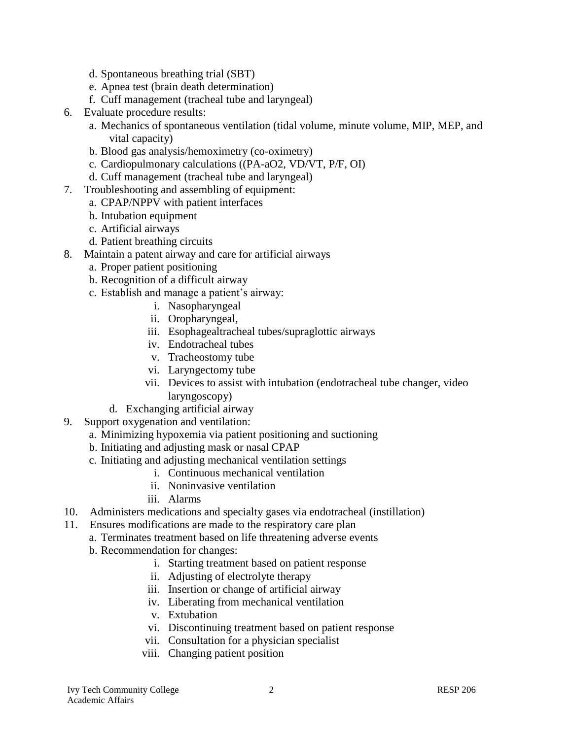- d. Spontaneous breathing trial (SBT)
- e. Apnea test (brain death determination)
- f. Cuff management (tracheal tube and laryngeal)
- 6. Evaluate procedure results:
	- a. Mechanics of spontaneous ventilation (tidal volume, minute volume, MIP, MEP, and vital capacity)
	- b. Blood gas analysis/hemoximetry (co-oximetry)
	- c. Cardiopulmonary calculations ((PA-aO2, VD/VT, P/F, OI)
	- d. Cuff management (tracheal tube and laryngeal)
- 7. Troubleshooting and assembling of equipment:
	- a. CPAP/NPPV with patient interfaces
	- b. Intubation equipment
	- c. Artificial airways
	- d. Patient breathing circuits
- 8. Maintain a patent airway and care for artificial airways
	- a. Proper patient positioning
	- b. Recognition of a difficult airway
	- c. Establish and manage a patient's airway:
		- i. Nasopharyngeal
		- ii. Oropharyngeal,
		- iii. Esophagealtracheal tubes/supraglottic airways
		- iv. Endotracheal tubes
		- v. Tracheostomy tube
		- vi. Laryngectomy tube
		- vii. Devices to assist with intubation (endotracheal tube changer, video laryngoscopy)
		- d. Exchanging artificial airway
- 9. Support oxygenation and ventilation:
	- a. Minimizing hypoxemia via patient positioning and suctioning
	- b. Initiating and adjusting mask or nasal CPAP
	- c. Initiating and adjusting mechanical ventilation settings
		- i. Continuous mechanical ventilation
		- ii. Noninvasive ventilation
		- iii. Alarms
- 10. Administers medications and specialty gases via endotracheal (instillation)
- 11. Ensures modifications are made to the respiratory care plan
	- a. Terminates treatment based on life threatening adverse events
	- b. Recommendation for changes:
		- i. Starting treatment based on patient response
		- ii. Adjusting of electrolyte therapy
		- iii. Insertion or change of artificial airway
		- iv. Liberating from mechanical ventilation
		- v. Extubation
		- vi. Discontinuing treatment based on patient response
		- vii. Consultation for a physician specialist
		- viii. Changing patient position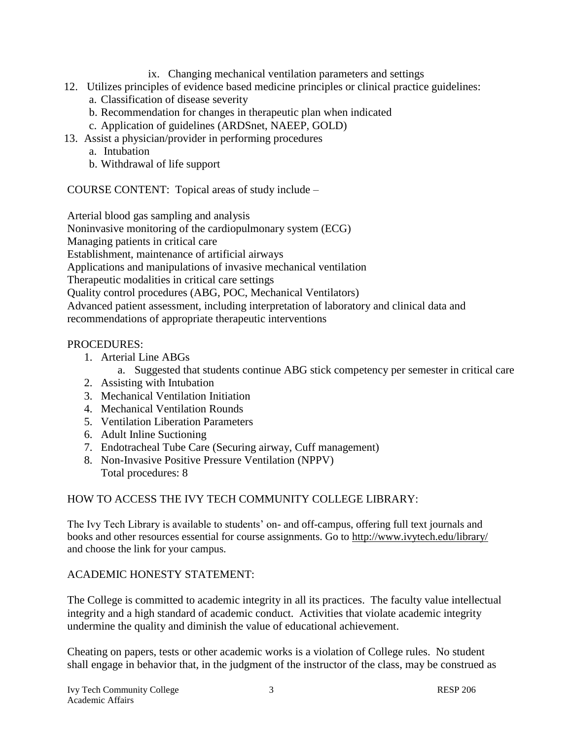- ix. Changing mechanical ventilation parameters and settings
- 12. Utilizes principles of evidence based medicine principles or clinical practice guidelines:
	- a. Classification of disease severity
	- b. Recommendation for changes in therapeutic plan when indicated
	- c. Application of guidelines (ARDSnet, NAEEP, GOLD)
- 13. Assist a physician/provider in performing procedures
	- a. Intubation
	- b. Withdrawal of life support

COURSE CONTENT: Topical areas of study include –

Arterial blood gas sampling and analysis

Noninvasive monitoring of the cardiopulmonary system (ECG)

Managing patients in critical care

Establishment, maintenance of artificial airways

Applications and manipulations of invasive mechanical ventilation

Therapeutic modalities in critical care settings

Quality control procedures (ABG, POC, Mechanical Ventilators)

Advanced patient assessment, including interpretation of laboratory and clinical data and recommendations of appropriate therapeutic interventions

### PROCEDURES:

- 1. Arterial Line ABGs
	- a. Suggested that students continue ABG stick competency per semester in critical care
- 2. Assisting with Intubation
- 3. Mechanical Ventilation Initiation
- 4. Mechanical Ventilation Rounds
- 5. Ventilation Liberation Parameters
- 6. Adult Inline Suctioning
- 7. Endotracheal Tube Care (Securing airway, Cuff management)
- 8. Non-Invasive Positive Pressure Ventilation (NPPV) Total procedures: 8

## HOW TO ACCESS THE IVY TECH COMMUNITY COLLEGE LIBRARY:

The Ivy Tech Library is available to students' on- and off-campus, offering full text journals and books and other resources essential for course assignments. Go to<http://www.ivytech.edu/library/> and choose the link for your campus.

## ACADEMIC HONESTY STATEMENT:

The College is committed to academic integrity in all its practices. The faculty value intellectual integrity and a high standard of academic conduct. Activities that violate academic integrity undermine the quality and diminish the value of educational achievement.

Cheating on papers, tests or other academic works is a violation of College rules. No student shall engage in behavior that, in the judgment of the instructor of the class, may be construed as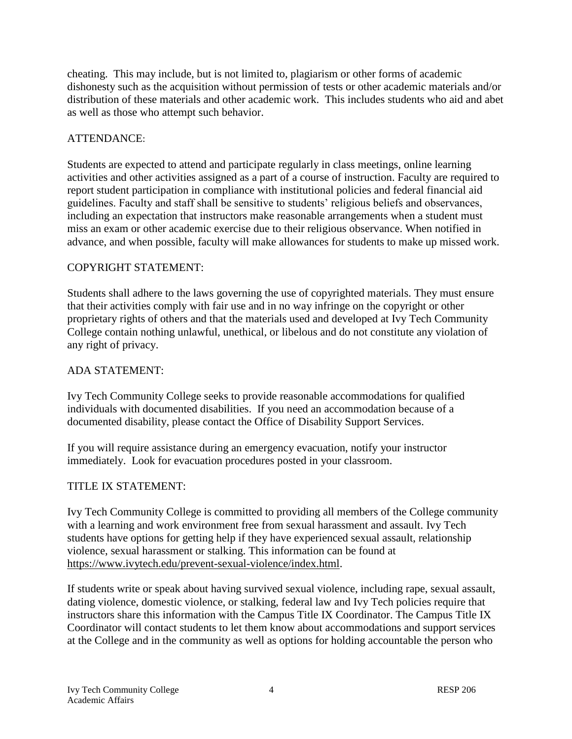cheating. This may include, but is not limited to, plagiarism or other forms of academic dishonesty such as the acquisition without permission of tests or other academic materials and/or distribution of these materials and other academic work. This includes students who aid and abet as well as those who attempt such behavior.

### ATTENDANCE:

Students are expected to attend and participate regularly in class meetings, online learning activities and other activities assigned as a part of a course of instruction. Faculty are required to report student participation in compliance with institutional policies and federal financial aid guidelines. Faculty and staff shall be sensitive to students' religious beliefs and observances, including an expectation that instructors make reasonable arrangements when a student must miss an exam or other academic exercise due to their religious observance. When notified in advance, and when possible, faculty will make allowances for students to make up missed work.

### COPYRIGHT STATEMENT:

Students shall adhere to the laws governing the use of copyrighted materials. They must ensure that their activities comply with fair use and in no way infringe on the copyright or other proprietary rights of others and that the materials used and developed at Ivy Tech Community College contain nothing unlawful, unethical, or libelous and do not constitute any violation of any right of privacy.

### ADA STATEMENT:

Ivy Tech Community College seeks to provide reasonable accommodations for qualified individuals with documented disabilities. If you need an accommodation because of a documented disability, please contact the Office of Disability Support Services.

If you will require assistance during an emergency evacuation, notify your instructor immediately. Look for evacuation procedures posted in your classroom.

### TITLE IX STATEMENT:

Ivy Tech Community College is committed to providing all members of the College community with a learning and work environment free from sexual harassment and assault. Ivy Tech students have options for getting help if they have experienced sexual assault, relationship violence, sexual harassment or stalking. This information can be found at [https://www.ivytech.edu/prevent-sexual-violence/index.html.](https://www.ivytech.edu/prevent-sexual-violence/index.html)

If students write or speak about having survived sexual violence, including rape, sexual assault, dating violence, domestic violence, or stalking, federal law and Ivy Tech policies require that instructors share this information with the Campus Title IX Coordinator. The Campus Title IX Coordinator will contact students to let them know about accommodations and support services at the College and in the community as well as options for holding accountable the person who